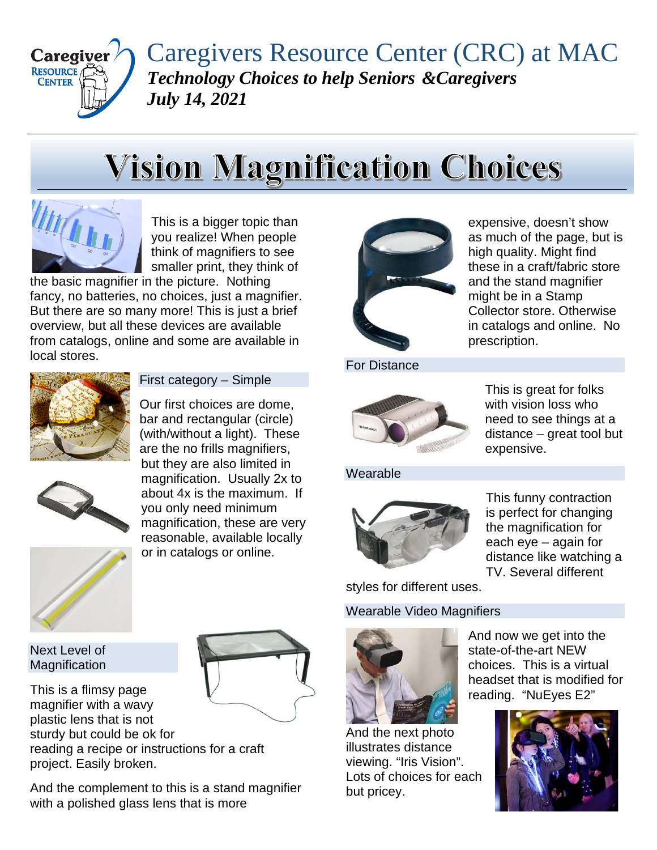

Caregivers Resource Center (CRC) at MAC *Technology Choices to help Seniors &Caregivers July 14, 2021*

# **Vision Magnification Choices**



This is a bigger topic than you realize! When people think of magnifiers to see smaller print, they think of

the basic magnifier in the picture. Nothing fancy, no batteries, no choices, just a magnifier. But there are so many more! This is just a brief overview, but all these devices are available from catalogs, online and some are available in local stores.



First category – Simple

Our first choices are dome, bar and rectangular (circle) (with/without a light). These are the no frills magnifiers, but they are also limited in magnification. Usually 2x to about 4x is the maximum. If you only need minimum magnification, these are very reasonable, available locally or in catalogs or online.



Next Level of **Magnification** 

This is a flimsy page magnifier with a wavy plastic lens that is not sturdy but could be ok for reading a recipe or instructions for a craft project. Easily broken.

And the complement to this is a stand magnifier with a polished glass lens that is more



expensive, doesn't show as much of the page, but is high quality. Might find these in a craft/fabric store and the stand magnifier might be in a Stamp Collector store. Otherwise in catalogs and online. No prescription.

For Distance



This is great for folks with vision loss who need to see things at a distance – great tool but expensive.

Wearable



This funny contraction is perfect for changing the magnification for each eye – again for distance like watching a TV. Several different

styles for different uses.

Wearable Video Magnifiers



And now we get into the state-of-the-art NEW choices. This is a virtual headset that is modified for reading. "NuEyes E2"

And the next photo illustrates distance viewing. "Iris Vision". Lots of choices for each but pricey.